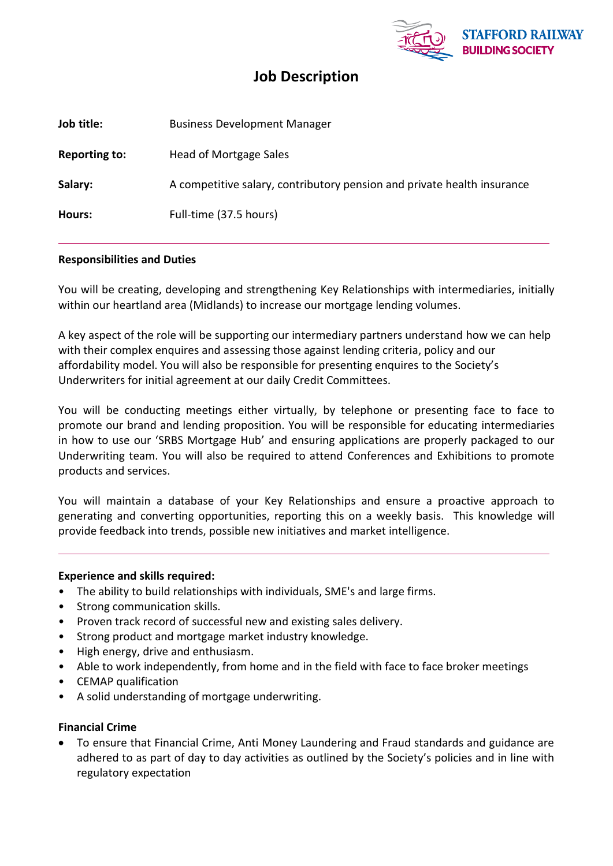

# **Job Description**

| Job title:           | <b>Business Development Manager</b>                                     |
|----------------------|-------------------------------------------------------------------------|
| <b>Reporting to:</b> | Head of Mortgage Sales                                                  |
| Salary:              | A competitive salary, contributory pension and private health insurance |
| Hours:               | Full-time (37.5 hours)                                                  |

## **Responsibilities and Duties**

You will be creating, developing and strengthening Key Relationships with intermediaries, initially within our heartland area (Midlands) to increase our mortgage lending volumes.

A key aspect of the role will be supporting our intermediary partners understand how we can help with their complex enquires and assessing those against lending criteria, policy and our affordability model. You will also be responsible for presenting enquires to the Society's Underwriters for initial agreement at our daily Credit Committees.

You will be conducting meetings either virtually, by telephone or presenting face to face to promote our brand and lending proposition. You will be responsible for educating intermediaries in how to use our 'SRBS Mortgage Hub' and ensuring applications are properly packaged to our Underwriting team. You will also be required to attend Conferences and Exhibitions to promote products and services.

You will maintain a database of your Key Relationships and ensure a proactive approach to generating and converting opportunities, reporting this on a weekly basis. This knowledge will provide feedback into trends, possible new initiatives and market intelligence.

## **Experience and skills required:**

- The ability to build relationships with individuals, SME's and large firms.
- Strong communication skills.
- Proven track record of successful new and existing sales delivery.
- Strong product and mortgage market industry knowledge.
- High energy, drive and enthusiasm.
- Able to work independently, from home and in the field with face to face broker meetings
- CEMAP qualification
- A solid understanding of mortgage underwriting.

## **Financial Crime**

 To ensure that Financial Crime, Anti Money Laundering and Fraud standards and guidance are adhered to as part of day to day activities as outlined by the Society's policies and in line with regulatory expectation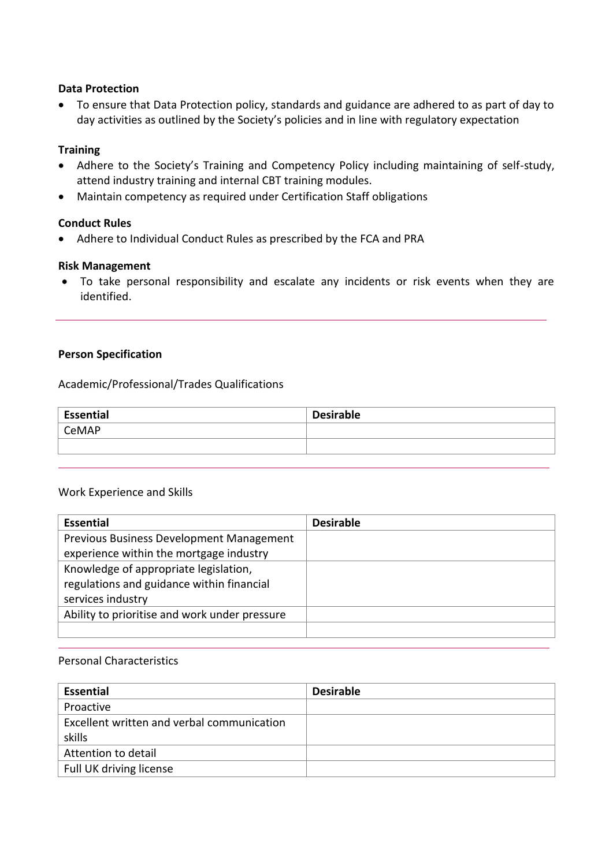### **Data Protection**

 To ensure that Data Protection policy, standards and guidance are adhered to as part of day to day activities as outlined by the Society's policies and in line with regulatory expectation

### **Training**

- Adhere to the Society's Training and Competency Policy including maintaining of self-study, attend industry training and internal CBT training modules.
- Maintain competency as required under Certification Staff obligations

## **Conduct Rules**

Adhere to Individual Conduct Rules as prescribed by the FCA and PRA

#### **Risk Management**

 To take personal responsibility and escalate any incidents or risk events when they are identified.

#### **Person Specification**

Academic/Professional/Trades Qualifications

| Essential | <b>Desirable</b> |
|-----------|------------------|
| CeMAP     |                  |
|           |                  |

#### Work Experience and Skills

| <b>Essential</b>                              | <b>Desirable</b> |
|-----------------------------------------------|------------------|
| Previous Business Development Management      |                  |
| experience within the mortgage industry       |                  |
| Knowledge of appropriate legislation,         |                  |
| regulations and guidance within financial     |                  |
| services industry                             |                  |
| Ability to prioritise and work under pressure |                  |
|                                               |                  |

# Personal Characteristics

| <b>Essential</b>                           | <b>Desirable</b> |
|--------------------------------------------|------------------|
| Proactive                                  |                  |
| Excellent written and verbal communication |                  |
| skills                                     |                  |
| Attention to detail                        |                  |
| Full UK driving license                    |                  |